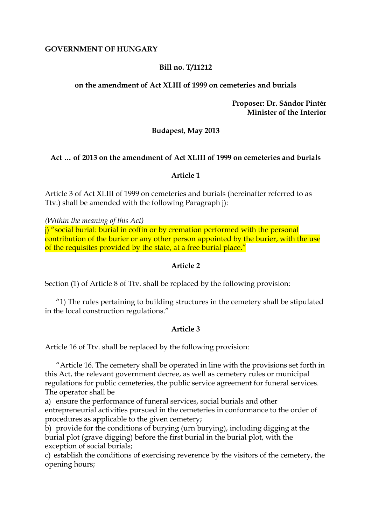### **GOVERNMENT OF HUNGARY**

## **Bill no. T/11212**

## **on the amendment of Act XLIII of 1999 on cemeteries and burials**

**Proposer: Dr. Sándor Pintér Minister of the Interior**

## **Budapest, May 2013**

### **Act … of 2013 on the amendment of Act XLIII of 1999 on cemeteries and burials**

### **Article 1**

Article 3 of Act XLIII of 1999 on cemeteries and burials (hereinafter referred to as Ttv.) shall be amended with the following Paragraph j):

*(Within the meaning of this Act)*

j) "social burial: burial in coffin or by cremation performed with the personal contribution of the burier or any other person appointed by the burier, with the use of the requisites provided by the state, at a free burial place."

### **Article 2**

Section (1) of Article 8 of Ttv. shall be replaced by the following provision:

"1) The rules pertaining to building structures in the cemetery shall be stipulated in the local construction regulations."

### **Article 3**

Article 16 of Ttv. shall be replaced by the following provision:

"Article 16. The cemetery shall be operated in line with the provisions set forth in this Act, the relevant government decree, as well as cemetery rules or municipal regulations for public cemeteries, the public service agreement for funeral services. The operator shall be

a) ensure the performance of funeral services, social burials and other entrepreneurial activities pursued in the cemeteries in conformance to the order of procedures as applicable to the given cemetery;

b) provide for the conditions of burying (urn burying), including digging at the burial plot (grave digging) before the first burial in the burial plot, with the exception of social burials;

c) establish the conditions of exercising reverence by the visitors of the cemetery, the opening hours;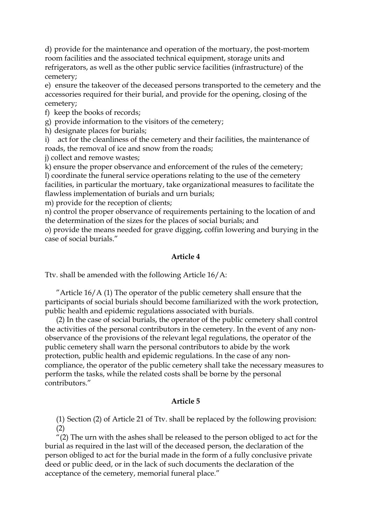d) provide for the maintenance and operation of the mortuary, the post-mortem room facilities and the associated technical equipment, storage units and refrigerators, as well as the other public service facilities (infrastructure) of the cemetery;

e) ensure the takeover of the deceased persons transported to the cemetery and the accessories required for their burial, and provide for the opening, closing of the cemetery;

f) keep the books of records;

g) provide information to the visitors of the cemetery;

h) designate places for burials;

i) act for the cleanliness of the cemetery and their facilities, the maintenance of roads, the removal of ice and snow from the roads;

j) collect and remove wastes;

k) ensure the proper observance and enforcement of the rules of the cemetery; l) coordinate the funeral service operations relating to the use of the cemetery facilities, in particular the mortuary, take organizational measures to facilitate the flawless implementation of burials and urn burials;

m) provide for the reception of clients;

n) control the proper observance of requirements pertaining to the location of and the determination of the sizes for the places of social burials; and

o) provide the means needed for grave digging, coffin lowering and burying in the case of social burials."

### **Article 4**

Ttv. shall be amended with the following Article 16/A:

"Article  $16/A$  (1) The operator of the public cemetery shall ensure that the participants of social burials should become familiarized with the work protection, public health and epidemic regulations associated with burials.

(2) In the case of social burials, the operator of the public cemetery shall control the activities of the personal contributors in the cemetery. In the event of any nonobservance of the provisions of the relevant legal regulations, the operator of the public cemetery shall warn the personal contributors to abide by the work protection, public health and epidemic regulations. In the case of any noncompliance, the operator of the public cemetery shall take the necessary measures to perform the tasks, while the related costs shall be borne by the personal contributors."

### **Article 5**

(1) Section (2) of Article 21 of Ttv. shall be replaced by the following provision: (2)

"(2) The urn with the ashes shall be released to the person obliged to act for the burial as required in the last will of the deceased person, the declaration of the person obliged to act for the burial made in the form of a fully conclusive private deed or public deed, or in the lack of such documents the declaration of the acceptance of the cemetery, memorial funeral place."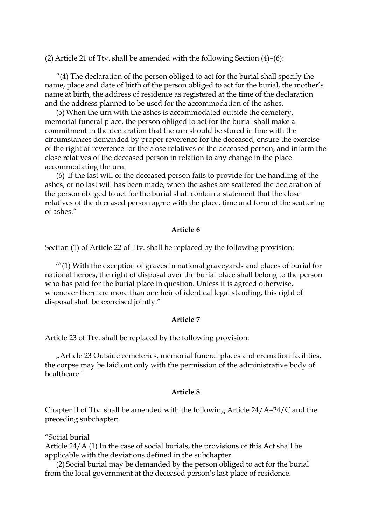(2) Article 21 of Ttv. shall be amended with the following Section (4)–(6):

 $''(4)$  The declaration of the person obliged to act for the burial shall specify the name, place and date of birth of the person obliged to act for the burial, the mother's name at birth, the address of residence as registered at the time of the declaration and the address planned to be used for the accommodation of the ashes.

(5)When the urn with the ashes is accommodated outside the cemetery, memorial funeral place, the person obliged to act for the burial shall make a commitment in the declaration that the urn should be stored in line with the circumstances demanded by proper reverence for the deceased, ensure the exercise of the right of reverence for the close relatives of the deceased person, and inform the close relatives of the deceased person in relation to any change in the place accommodating the urn.

(6) If the last will of the deceased person fails to provide for the handling of the ashes, or no last will has been made, when the ashes are scattered the declaration of the person obliged to act for the burial shall contain a statement that the close relatives of the deceased person agree with the place, time and form of the scattering of ashes."

#### **Article 6**

Section (1) of Article 22 of Ttv. shall be replaced by the following provision:

'"(1) With the exception of graves in national graveyards and places of burial for national heroes, the right of disposal over the burial place shall belong to the person who has paid for the burial place in question. Unless it is agreed otherwise, whenever there are more than one heir of identical legal standing, this right of disposal shall be exercised jointly."

#### **Article 7**

Article 23 of Ttv. shall be replaced by the following provision:

"Article 23 Outside cemeteries, memorial funeral places and cremation facilities, the corpse may be laid out only with the permission of the administrative body of healthcare."

#### **Article 8**

Chapter II of Ttv. shall be amended with the following Article 24/A–24/C and the preceding subchapter:

"Social burial

Article 24/A (1) In the case of social burials, the provisions of this Act shall be applicable with the deviations defined in the subchapter.

(2) Social burial may be demanded by the person obliged to act for the burial from the local government at the deceased person's last place of residence.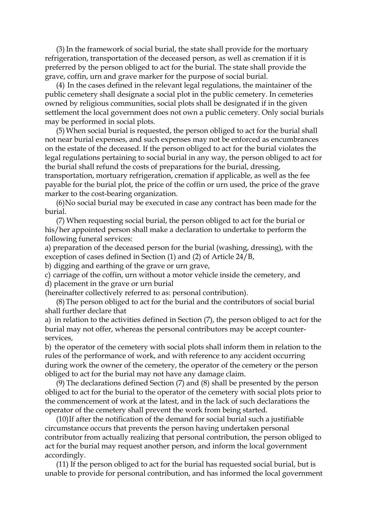(3) In the framework of social burial, the state shall provide for the mortuary refrigeration, transportation of the deceased person, as well as cremation if it is preferred by the person obliged to act for the burial. The state shall provide the grave, coffin, urn and grave marker for the purpose of social burial.

(4) In the cases defined in the relevant legal regulations, the maintainer of the public cemetery shall designate a social plot in the public cemetery. In cemeteries owned by religious communities, social plots shall be designated if in the given settlement the local government does not own a public cemetery. Only social burials may be performed in social plots.

(5)When social burial is requested, the person obliged to act for the burial shall not near burial expenses, and such expenses may not be enforced as encumbrances on the estate of the deceased. If the person obliged to act for the burial violates the legal regulations pertaining to social burial in any way, the person obliged to act for the burial shall refund the costs of preparations for the burial, dressing, transportation, mortuary refrigeration, cremation if applicable, as well as the fee

payable for the burial plot, the price of the coffin or urn used, the price of the grave marker to the cost-bearing organization.

(6)No social burial may be executed in case any contract has been made for the burial.

(7) When requesting social burial, the person obliged to act for the burial or his/her appointed person shall make a declaration to undertake to perform the following funeral services:

a) preparation of the deceased person for the burial (washing, dressing), with the exception of cases defined in Section (1) and (2) of Article 24/B,

b) digging and earthing of the grave or urn grave,

c) carriage of the coffin, urn without a motor vehicle inside the cemetery, and d) placement in the grave or urn burial

(hereinafter collectively referred to as: personal contribution).

(8)The person obliged to act for the burial and the contributors of social burial shall further declare that

a) in relation to the activities defined in Section (7), the person obliged to act for the burial may not offer, whereas the personal contributors may be accept counterservices,

b) the operator of the cemetery with social plots shall inform them in relation to the rules of the performance of work, and with reference to any accident occurring during work the owner of the cemetery, the operator of the cemetery or the person obliged to act for the burial may not have any damage claim.

(9) The declarations defined Section (7) and (8) shall be presented by the person obliged to act for the burial to the operator of the cemetery with social plots prior to the commencement of work at the latest, and in the lack of such declarations the operator of the cemetery shall prevent the work from being started.

(10)If after the notification of the demand for social burial such a justifiable circumstance occurs that prevents the person having undertaken personal contributor from actually realizing that personal contribution, the person obliged to act for the burial may request another person, and inform the local government accordingly.

(11) If the person obliged to act for the burial has requested social burial, but is unable to provide for personal contribution, and has informed the local government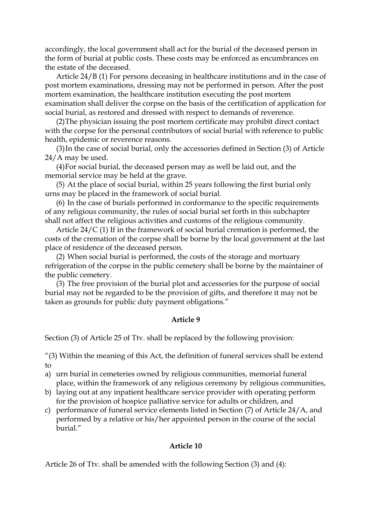accordingly, the local government shall act for the burial of the deceased person in the form of burial at public costs. These costs may be enforced as encumbrances on the estate of the deceased.

Article 24/B (1) For persons deceasing in healthcare institutions and in the case of post mortem examinations, dressing may not be performed in person. After the post mortem examination, the healthcare institution executing the post mortem examination shall deliver the corpse on the basis of the certification of application for social burial, as restored and dressed with respect to demands of reverence.

(2)The physician issuing the post mortem certificate may prohibit direct contact with the corpse for the personal contributors of social burial with reference to public health, epidemic or reverence reasons.

(3)In the case of social burial, only the accessories defined in Section (3) of Article 24/A may be used.

(4)For social burial, the deceased person may as well be laid out, and the memorial service may be held at the grave.

(5) At the place of social burial, within 25 years following the first burial only urns may be placed in the framework of social burial.

(6) In the case of burials performed in conformance to the specific requirements of any religious community, the rules of social burial set forth in this subchapter shall not affect the religious activities and customs of the religious community.

Article 24/C (1) If in the framework of social burial cremation is performed, the costs of the cremation of the corpse shall be borne by the local government at the last place of residence of the deceased person.

(2) When social burial is performed, the costs of the storage and mortuary refrigeration of the corpse in the public cemetery shall be borne by the maintainer of the public cemetery.

(3) The free provision of the burial plot and accessories for the purpose of social burial may not be regarded to be the provision of gifts, and therefore it may not be taken as grounds for public duty payment obligations."

#### **Article 9**

Section (3) of Article 25 of Ttv. shall be replaced by the following provision:

"(3) Within the meaning of this Act, the definition of funeral services shall be extend to

- a) urn burial in cemeteries owned by religious communities, memorial funeral place, within the framework of any religious ceremony by religious communities,
- b) laying out at any inpatient healthcare service provider with operating perform for the provision of hospice palliative service for adults or children, and
- c) performance of funeral service elements listed in Section (7) of Article 24/A, and performed by a relative or his/her appointed person in the course of the social burial."

### **Article 10**

Article 26 of Ttv. shall be amended with the following Section (3) and (4):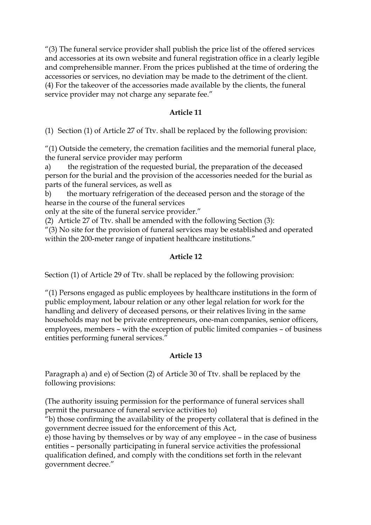"(3) The funeral service provider shall publish the price list of the offered services and accessories at its own website and funeral registration office in a clearly legible and comprehensible manner. From the prices published at the time of ordering the accessories or services, no deviation may be made to the detriment of the client. (4) For the takeover of the accessories made available by the clients, the funeral service provider may not charge any separate fee."

## **Article 11**

(1) Section (1) of Article 27 of Ttv. shall be replaced by the following provision:

"(1) Outside the cemetery, the cremation facilities and the memorial funeral place, the funeral service provider may perform

a) the registration of the requested burial, the preparation of the deceased person for the burial and the provision of the accessories needed for the burial as parts of the funeral services, as well as

b) the mortuary refrigeration of the deceased person and the storage of the hearse in the course of the funeral services

only at the site of the funeral service provider."

(2) Article 27 of Ttv. shall be amended with the following Section (3):

"(3) No site for the provision of funeral services may be established and operated within the 200-meter range of inpatient healthcare institutions."

# **Article 12**

Section (1) of Article 29 of Ttv. shall be replaced by the following provision:

"(1) Persons engaged as public employees by healthcare institutions in the form of public employment, labour relation or any other legal relation for work for the handling and delivery of deceased persons, or their relatives living in the same households may not be private entrepreneurs, one-man companies, senior officers, employees, members – with the exception of public limited companies – of business entities performing funeral services."

# **Article 13**

Paragraph a) and e) of Section (2) of Article 30 of Ttv. shall be replaced by the following provisions:

(The authority issuing permission for the performance of funeral services shall permit the pursuance of funeral service activities to)

"b) those confirming the availability of the property collateral that is defined in the government decree issued for the enforcement of this Act,

e) those having by themselves or by way of any employee – in the case of business entities – personally participating in funeral service activities the professional qualification defined, and comply with the conditions set forth in the relevant government decree."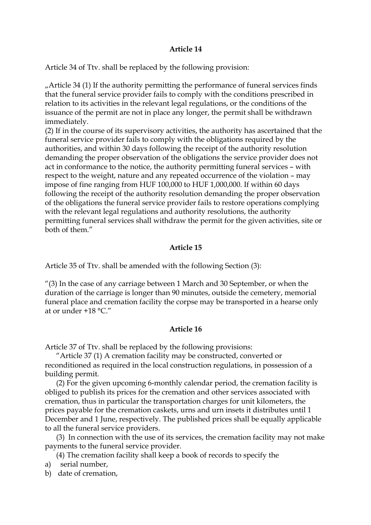### **Article 14**

Article 34 of Ttv. shall be replaced by the following provision:

 $\mu$ Article 34 (1) If the authority permitting the performance of funeral services finds that the funeral service provider fails to comply with the conditions prescribed in relation to its activities in the relevant legal regulations, or the conditions of the issuance of the permit are not in place any longer, the permit shall be withdrawn immediately.

(2) If in the course of its supervisory activities, the authority has ascertained that the funeral service provider fails to comply with the obligations required by the authorities, and within 30 days following the receipt of the authority resolution demanding the proper observation of the obligations the service provider does not act in conformance to the notice, the authority permitting funeral services – with respect to the weight, nature and any repeated occurrence of the violation – may impose of fine ranging from HUF 100,000 to HUF 1,000,000. If within 60 days following the receipt of the authority resolution demanding the proper observation of the obligations the funeral service provider fails to restore operations complying with the relevant legal regulations and authority resolutions, the authority permitting funeral services shall withdraw the permit for the given activities, site or both of them."

## **Article 15**

Article 35 of Ttv. shall be amended with the following Section (3):

"(3) In the case of any carriage between 1 March and 30 September, or when the duration of the carriage is longer than 90 minutes, outside the cemetery, memorial funeral place and cremation facility the corpse may be transported in a hearse only at or under +18 °C."

### **Article 16**

Article 37 of Ttv. shall be replaced by the following provisions:

"Article 37 (1) A cremation facility may be constructed, converted or reconditioned as required in the local construction regulations, in possession of a building permit.

(2) For the given upcoming 6-monthly calendar period, the cremation facility is obliged to publish its prices for the cremation and other services associated with cremation, thus in particular the transportation charges for unit kilometers, the prices payable for the cremation caskets, urns and urn insets it distributes until 1 December and 1 June, respectively. The published prices shall be equally applicable to all the funeral service providers.

(3) In connection with the use of its services, the cremation facility may not make payments to the funeral service provider.

(4) The cremation facility shall keep a book of records to specify the

a) serial number,

b) date of cremation,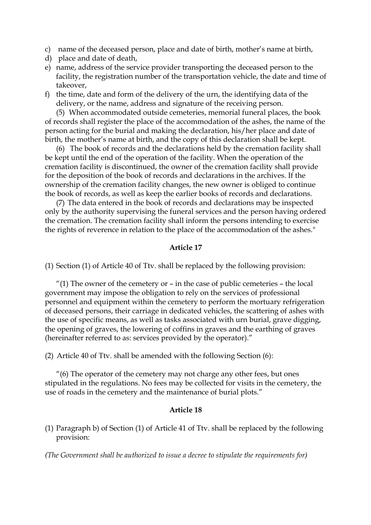- c) name of the deceased person, place and date of birth, mother's name at birth,
- d) place and date of death,
- e) name, address of the service provider transporting the deceased person to the facility, the registration number of the transportation vehicle, the date and time of takeover,
- f) the time, date and form of the delivery of the urn, the identifying data of the delivery, or the name, address and signature of the receiving person.

(5) When accommodated outside cemeteries, memorial funeral places, the book of records shall register the place of the accommodation of the ashes, the name of the person acting for the burial and making the declaration, his/her place and date of birth, the mother's name at birth, and the copy of this declaration shall be kept.

(6) The book of records and the declarations held by the cremation facility shall be kept until the end of the operation of the facility. When the operation of the cremation facility is discontinued, the owner of the cremation facility shall provide for the deposition of the book of records and declarations in the archives. If the ownership of the cremation facility changes, the new owner is obliged to continue the book of records, as well as keep the earlier books of records and declarations.

(7) The data entered in the book of records and declarations may be inspected only by the authority supervising the funeral services and the person having ordered the cremation. The cremation facility shall inform the persons intending to exercise the rights of reverence in relation to the place of the accommodation of the ashes."

#### **Article 17**

(1) Section (1) of Article 40 of Ttv. shall be replaced by the following provision:

"(1) The owner of the cemetery or  $-$  in the case of public cemeteries  $-$  the local government may impose the obligation to rely on the services of professional personnel and equipment within the cemetery to perform the mortuary refrigeration of deceased persons, their carriage in dedicated vehicles, the scattering of ashes with the use of specific means, as well as tasks associated with urn burial, grave digging, the opening of graves, the lowering of coffins in graves and the earthing of graves (hereinafter referred to as: services provided by the operator)."

(2) Article 40 of Ttv. shall be amended with the following Section (6):

 $^{\prime\prime}$ (6) The operator of the cemetery may not charge any other fees, but ones stipulated in the regulations. No fees may be collected for visits in the cemetery, the use of roads in the cemetery and the maintenance of burial plots."

#### **Article 18**

(1) Paragraph b) of Section (1) of Article 41 of Ttv. shall be replaced by the following provision:

*(The Government shall be authorized to issue a decree to stipulate the requirements for)*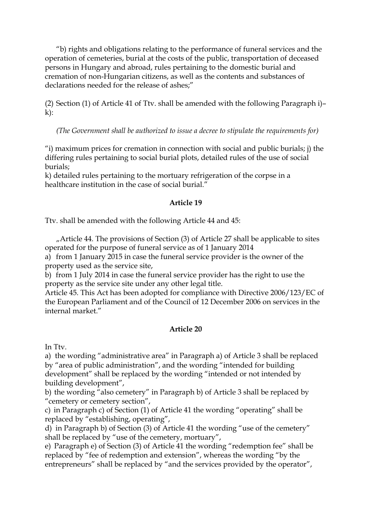"b) rights and obligations relating to the performance of funeral services and the operation of cemeteries, burial at the costs of the public, transportation of deceased persons in Hungary and abroad, rules pertaining to the domestic burial and cremation of non-Hungarian citizens, as well as the contents and substances of declarations needed for the release of ashes;"

(2) Section (1) of Article 41 of Ttv. shall be amended with the following Paragraph i)–  $k$ :

*(The Government shall be authorized to issue a decree to stipulate the requirements for)*

"i) maximum prices for cremation in connection with social and public burials; j) the differing rules pertaining to social burial plots, detailed rules of the use of social burials;

k) detailed rules pertaining to the mortuary refrigeration of the corpse in a healthcare institution in the case of social burial."

## **Article 19**

Ttv. shall be amended with the following Article 44 and 45:

 $<sub>n</sub>$ Article 44. The provisions of Section (3) of Article 27 shall be applicable to sites</sub> operated for the purpose of funeral service as of 1 January 2014

a) from 1 January 2015 in case the funeral service provider is the owner of the property used as the service site,

b) from 1 July 2014 in case the funeral service provider has the right to use the property as the service site under any other legal title.

Article 45. This Act has been adopted for compliance with Directive 2006/123/EC of the European Parliament and of the Council of 12 December 2006 on services in the internal market."

# **Article 20**

In Ttv.

a) the wording "administrative area" in Paragraph a) of Article 3 shall be replaced by "area of public administration", and the wording "intended for building development" shall be replaced by the wording "intended or not intended by building development",

b) the wording "also cemetery" in Paragraph b) of Article 3 shall be replaced by "cemetery or cemetery section",

c) in Paragraph c) of Section (1) of Article 41 the wording "operating" shall be replaced by "establishing, operating",

d) in Paragraph b) of Section (3) of Article 41 the wording "use of the cemetery" shall be replaced by "use of the cemetery, mortuary",

e) Paragraph e) of Section (3) of Article 41 the wording "redemption fee" shall be replaced by "fee of redemption and extension", whereas the wording "by the entrepreneurs" shall be replaced by "and the services provided by the operator",